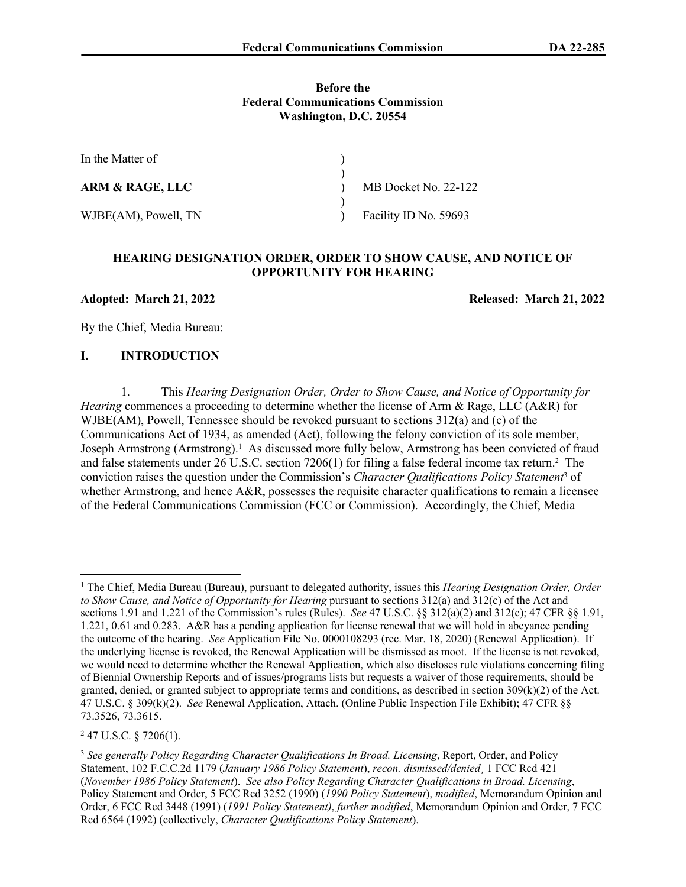#### **Before the Federal Communications Commission Washington, D.C. 20554**

| In the Matter of           |                       |
|----------------------------|-----------------------|
|                            |                       |
| <b>ARM &amp; RAGE, LLC</b> | MB Docket No. 22-122  |
|                            |                       |
| WJBE(AM), Powell, TN       | Facility ID No. 59693 |

#### **HEARING DESIGNATION ORDER, ORDER TO SHOW CAUSE, AND NOTICE OF OPPORTUNITY FOR HEARING**

**Adopted: March 21, 2022 Released: March 21, 2022**

By the Chief, Media Bureau:

### **I. INTRODUCTION**

1. This *Hearing Designation Order, Order to Show Cause, and Notice of Opportunity for Hearing* commences a proceeding to determine whether the license of Arm & Rage, LLC (A&R) for WJBE(AM), Powell, Tennessee should be revoked pursuant to sections 312(a) and (c) of the Communications Act of 1934, as amended (Act), following the felony conviction of its sole member, Joseph Armstrong (Armstrong).<sup>1</sup> As discussed more fully below, Armstrong has been convicted of fraud and false statements under 26 U.S.C. section 7206(1) for filing a false federal income tax return.<sup>2</sup> The conviction raises the question under the Commission's *Character Qualifications Policy Statement*<sup>3</sup> of whether Armstrong, and hence A&R, possesses the requisite character qualifications to remain a licensee of the Federal Communications Commission (FCC or Commission). Accordingly, the Chief, Media

<sup>1</sup> The Chief, Media Bureau (Bureau), pursuant to delegated authority, issues this *Hearing Designation Order, Order to Show Cause, and Notice of Opportunity for Hearing pursuant to sections 312(a) and 312(c) of the Act and* sections 1.91 and 1.221 of the Commission's rules (Rules). *See* 47 U.S.C. §§ 312(a)(2) and 312(c); 47 CFR §§ 1.91, 1.221, 0.61 and 0.283. A&R has a pending application for license renewal that we will hold in abeyance pending the outcome of the hearing. *See* Application File No. 0000108293 (rec. Mar. 18, 2020) (Renewal Application). If the underlying license is revoked, the Renewal Application will be dismissed as moot. If the license is not revoked, we would need to determine whether the Renewal Application, which also discloses rule violations concerning filing of Biennial Ownership Reports and of issues/programs lists but requests a waiver of those requirements, should be granted, denied, or granted subject to appropriate terms and conditions, as described in section 309(k)(2) of the Act. 47 U.S.C. § 309(k)(2). *See* Renewal Application, Attach. (Online Public Inspection File Exhibit); 47 CFR §§ 73.3526, 73.3615.

 $247$  U.S.C. § 7206(1).

<sup>3</sup> *See generally Policy Regarding Character Qualifications In Broad. Licensing*, Report, Order, and Policy Statement, 102 F.C.C.2d 1179 (*January 1986 Policy Statement*), *recon. dismissed/denied*¸ 1 FCC Rcd 421 (*November 1986 Policy Statement*). *See also Policy Regarding Character Qualifications in Broad. Licensing*, Policy Statement and Order, 5 FCC Rcd 3252 (1990) (*1990 Policy Statement*), *modified*, Memorandum Opinion and Order, 6 FCC Rcd 3448 (1991) (*1991 Policy Statement)*, *further modified*, Memorandum Opinion and Order, 7 FCC Rcd 6564 (1992) (collectively, *Character Qualifications Policy Statement*).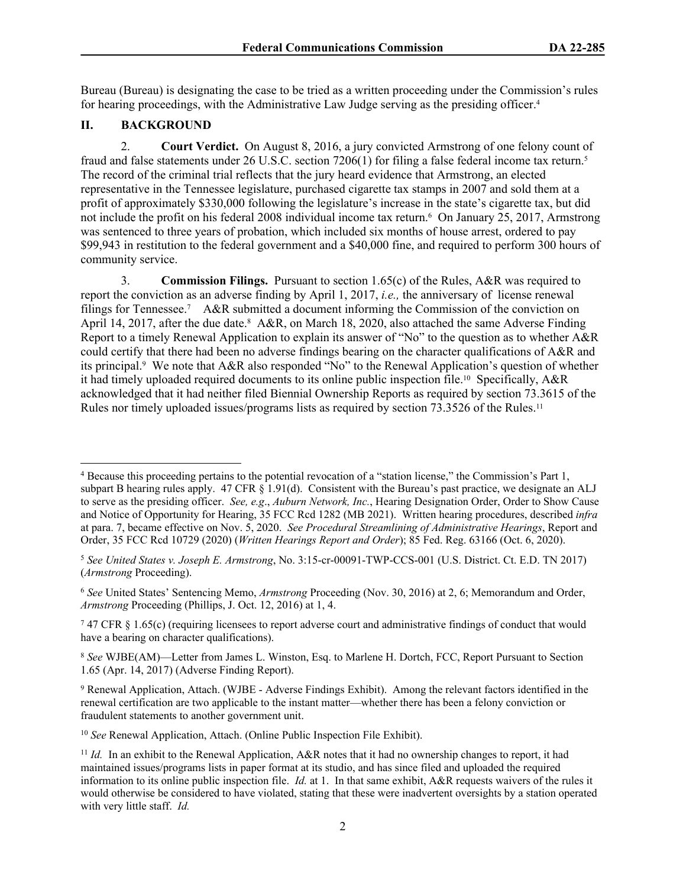Bureau (Bureau) is designating the case to be tried as a written proceeding under the Commission's rules for hearing proceedings, with the Administrative Law Judge serving as the presiding officer.<sup>4</sup>

## **II. BACKGROUND**

2. **Court Verdict.** On August 8, 2016, a jury convicted Armstrong of one felony count of fraud and false statements under 26 U.S.C. section 7206(1) for filing a false federal income tax return.<sup>5</sup> The record of the criminal trial reflects that the jury heard evidence that Armstrong, an elected representative in the Tennessee legislature, purchased cigarette tax stamps in 2007 and sold them at a profit of approximately \$330,000 following the legislature's increase in the state's cigarette tax, but did not include the profit on his federal 2008 individual income tax return.<sup>6</sup> On January 25, 2017, Armstrong was sentenced to three years of probation, which included six months of house arrest, ordered to pay \$99,943 in restitution to the federal government and a \$40,000 fine, and required to perform 300 hours of community service.

3. **Commission Filings.** Pursuant to section 1.65(c) of the Rules, A&R was required to report the conviction as an adverse finding by April 1, 2017, *i.e.,* the anniversary of license renewal filings for Tennessee.<sup>7</sup> A&R submitted a document informing the Commission of the conviction on April 14, 2017, after the due date.<sup>8</sup> A&R, on March 18, 2020, also attached the same Adverse Finding Report to a timely Renewal Application to explain its answer of "No" to the question as to whether A&R could certify that there had been no adverse findings bearing on the character qualifications of A&R and its principal.<sup>9</sup> We note that A&R also responded "No" to the Renewal Application's question of whether it had timely uploaded required documents to its online public inspection file.<sup>10</sup> Specifically,  $A\&R$ acknowledged that it had neither filed Biennial Ownership Reports as required by section 73.3615 of the Rules nor timely uploaded issues/programs lists as required by section 73.3526 of the Rules.<sup>11</sup>

<sup>4</sup> Because this proceeding pertains to the potential revocation of a "station license," the Commission's Part 1, subpart B hearing rules apply. 47 CFR § 1.91(d). Consistent with the Bureau's past practice, we designate an ALJ to serve as the presiding officer. *See, e.g*., *Auburn Network, Inc.*, Hearing Designation Order, Order to Show Cause and Notice of Opportunity for Hearing, 35 FCC Rcd 1282 (MB 2021). Written hearing procedures, described *infra* at para. 7, became effective on Nov. 5, 2020. *See Procedural Streamlining of Administrative Hearings*, Report and Order, 35 FCC Rcd 10729 (2020) (*Written Hearings Report and Order*); 85 Fed. Reg. 63166 (Oct. 6, 2020).

<sup>5</sup> *See United States v. Joseph E. Armstrong*, No. 3:15-cr-00091-TWP-CCS-001 (U.S. District. Ct. E.D. TN 2017) (*Armstrong* Proceeding).

<sup>6</sup> *See* United States' Sentencing Memo, *Armstrong* Proceeding (Nov. 30, 2016) at 2, 6; Memorandum and Order, *Armstrong* Proceeding (Phillips, J. Oct. 12, 2016) at 1, 4.

<sup>7</sup> 47 CFR § 1.65(c) (requiring licensees to report adverse court and administrative findings of conduct that would have a bearing on character qualifications).

<sup>8</sup> *See* WJBE(AM)—Letter from James L. Winston, Esq. to Marlene H. Dortch, FCC, Report Pursuant to Section 1.65 (Apr. 14, 2017) (Adverse Finding Report).

<sup>9</sup> Renewal Application, Attach. (WJBE - Adverse Findings Exhibit). Among the relevant factors identified in the renewal certification are two applicable to the instant matter—whether there has been a felony conviction or fraudulent statements to another government unit.

<sup>10</sup> *See* Renewal Application, Attach. (Online Public Inspection File Exhibit).

<sup>&</sup>lt;sup>11</sup> *Id.* In an exhibit to the Renewal Application, A&R notes that it had no ownership changes to report, it had maintained issues/programs lists in paper format at its studio, and has since filed and uploaded the required information to its online public inspection file. *Id.* at 1. In that same exhibit, A&R requests waivers of the rules it would otherwise be considered to have violated, stating that these were inadvertent oversights by a station operated with very little staff. *Id.*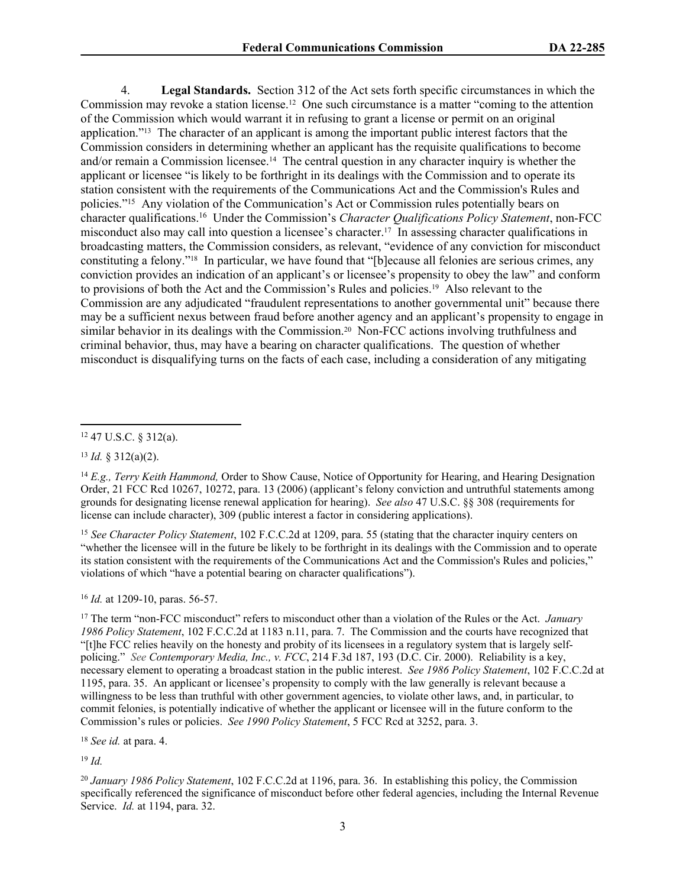4. **Legal Standards.** Section 312 of the Act sets forth specific circumstances in which the Commission may revoke a station license.<sup>12</sup> One such circumstance is a matter "coming to the attention of the Commission which would warrant it in refusing to grant a license or permit on an original application."13 The character of an applicant is among the important public interest factors that the Commission considers in determining whether an applicant has the requisite qualifications to become and/or remain a Commission licensee.<sup>14</sup> The central question in any character inquiry is whether the applicant or licensee "is likely to be forthright in its dealings with the Commission and to operate its station consistent with the requirements of the Communications Act and the Commission's Rules and policies."<sup>15</sup> Any violation of the Communication's Act or Commission rules potentially bears on character qualifications.<sup>16</sup> Under the Commission's *Character Qualifications Policy Statement*, non-FCC misconduct also may call into question a licensee's character.17 In assessing character qualifications in broadcasting matters, the Commission considers, as relevant, "evidence of any conviction for misconduct constituting a felony."18 In particular, we have found that "[b]ecause all felonies are serious crimes, any conviction provides an indication of an applicant's or licensee's propensity to obey the law" and conform to provisions of both the Act and the Commission's Rules and policies.19 Also relevant to the Commission are any adjudicated "fraudulent representations to another governmental unit" because there may be a sufficient nexus between fraud before another agency and an applicant's propensity to engage in similar behavior in its dealings with the Commission.<sup>20</sup> Non-FCC actions involving truthfulness and criminal behavior, thus, may have a bearing on character qualifications. The question of whether misconduct is disqualifying turns on the facts of each case, including a consideration of any mitigating

<sup>13</sup> *Id.* § 312(a)(2).

<sup>15</sup> *See Character Policy Statement*, 102 F.C.C.2d at 1209, para. 55 (stating that the character inquiry centers on "whether the licensee will in the future be likely to be forthright in its dealings with the Commission and to operate its station consistent with the requirements of the Communications Act and the Commission's Rules and policies," violations of which "have a potential bearing on character qualifications").

<sup>16</sup> *Id.* at 1209-10, paras. 56-57.

<sup>17</sup> The term "non-FCC misconduct" refers to misconduct other than a violation of the Rules or the Act. *January 1986 Policy Statement*, 102 F.C.C.2d at 1183 n.11, para. 7. The Commission and the courts have recognized that "[t]he FCC relies heavily on the honesty and probity of its licensees in a regulatory system that is largely selfpolicing." *See Contemporary Media, Inc., v. FCC*[, 214 F.3d 187, 193 \(D.C. Cir. 2000\)](https://1.next.westlaw.com/Link/Document/FullText?findType=Y&serNum=2000372136&pubNum=0000506&originatingDoc=If816a9b8187611e5a807ad48145ed9f1&refType=RP&fi=co_pp_sp_506_193&originationContext=document&transitionType=DocumentItem&ppcid=3d17316027b54dd6a6e19d093c02ec3e&contextData=(sc.Search)#co_pp_sp_506_193). Reliability is a key, necessary element to operating a broadcast station in the public interest. *See 1986 Policy Statement*, 102 F.C.C.2d at 1195, para. 35. An applicant or licensee's propensity to comply with the law generally is relevant because a willingness to be less than truthful with other government agencies, to violate other laws, and, in particular, to commit felonies, is potentially indicative of whether the applicant or licensee will in the future conform to the Commission's rules or policies. *See 1990 Policy Statement*, 5 FCC Rcd at 3252, para. 3.

<sup>18</sup> *See id.* at para. 4.

<sup>19</sup> *Id.*

<sup>20</sup> *January 1986 Policy Statement*, 102 F.C.C.2d at 1196, para. 36. In establishing this policy, the Commission specifically referenced the significance of misconduct before other federal agencies, including the Internal Revenue Service. *Id.* at 1194, para. 32.

<sup>12</sup> 47 U.S.C. § 312(a).

<sup>14</sup> *E.g., Terry Keith Hammond,* Order to Show Cause, Notice of Opportunity for Hearing, and Hearing Designation Order, 21 FCC Rcd 10267, 10272, para. 13 (2006) (applicant's felony conviction and untruthful statements among grounds for designating license renewal application for hearing). *See also* 47 U.S.C. §§ 308 (requirements for license can include character), 309 (public interest a factor in considering applications).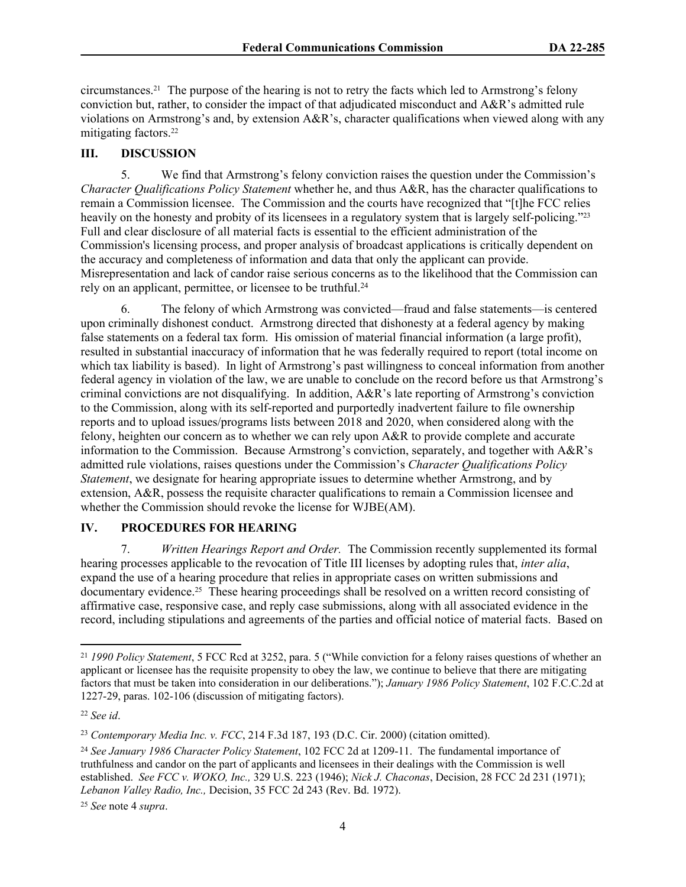circumstances.<sup>21</sup> The purpose of the hearing is not to retry the facts which led to Armstrong's felony conviction but, rather, to consider the impact of that adjudicated misconduct and  $A\&R$ 's admitted rule violations on Armstrong's and, by extension A&R's, character qualifications when viewed along with any mitigating factors.<sup>22</sup>

### **III. DISCUSSION**

5. We find that Armstrong's felony conviction raises the question under the Commission's *Character Qualifications Policy Statement* whether he, and thus A&R, has the character qualifications to remain a Commission licensee. The Commission and the courts have recognized that "[t]he FCC relies heavily on the honesty and probity of its licensees in a regulatory system that is largely self-policing."<sup>23</sup> Full and clear disclosure of all material facts is essential to the efficient administration of the Commission's licensing process, and proper analysis of broadcast applications is critically dependent on the accuracy and completeness of information and data that only the applicant can provide. Misrepresentation and lack of candor raise serious concerns as to the likelihood that the Commission can rely on an applicant, permittee, or licensee to be truthful.<sup>24</sup>

6. The felony of which Armstrong was convicted—fraud and false statements—is centered upon criminally dishonest conduct. Armstrong directed that dishonesty at a federal agency by making false statements on a federal tax form. His omission of material financial information (a large profit), resulted in substantial inaccuracy of information that he was federally required to report (total income on which tax liability is based). In light of Armstrong's past willingness to conceal information from another federal agency in violation of the law, we are unable to conclude on the record before us that Armstrong's criminal convictions are not disqualifying. In addition, A&R's late reporting of Armstrong's conviction to the Commission, along with its self-reported and purportedly inadvertent failure to file ownership reports and to upload issues/programs lists between 2018 and 2020, when considered along with the felony, heighten our concern as to whether we can rely upon A&R to provide complete and accurate information to the Commission. Because Armstrong's conviction, separately, and together with A&R's admitted rule violations, raises questions under the Commission's *Character Qualifications Policy Statement*, we designate for hearing appropriate issues to determine whether Armstrong, and by extension, A&R, possess the requisite character qualifications to remain a Commission licensee and whether the Commission should revoke the license for WJBE(AM).

### **IV. PROCEDURES FOR HEARING**

7. *Written Hearings Report and Order.* The Commission recently supplemented its formal hearing processes applicable to the revocation of Title III licenses by adopting rules that, *inter alia*, expand the use of a hearing procedure that relies in appropriate cases on written submissions and documentary evidence.25 These hearing proceedings shall be resolved on a written record consisting of affirmative case, responsive case, and reply case submissions, along with all associated evidence in the record, including stipulations and agreements of the parties and official notice of material facts. Based on

<sup>21</sup> *1990 Policy Statement*, 5 FCC Rcd at 3252, para. 5 ("While conviction for a felony raises questions of whether an applicant or licensee has the requisite propensity to obey the law, we continue to believe that there are mitigating factors that must be taken into consideration in our deliberations."); *January 1986 Policy Statement*, 102 F.C.C.2d at 1227-29, paras. 102-106 (discussion of mitigating factors).

<sup>22</sup> *See id*.

<sup>23</sup> *Contemporary Media Inc. v. FCC*, 214 F.3d 187, 193 (D.C. Cir. 2000) (citation omitted).

<sup>24</sup> *See January 1986 Character Policy Statement*, 102 FCC 2d at 1209-11. The fundamental importance of truthfulness and candor on the part of applicants and licensees in their dealings with the Commission is well established. *See FCC v. WOKO, Inc.,* 329 U.S. 223 (1946); *Nick J. Chaconas*, Decision, [28 FCC 2d 231 \(1971\)](http://web2.westlaw.com/find/default.wl?serialnum=1971024261&tc=-1&rp=%2ffind%2fdefault.wl&sv=Split&rs=WLW10.10&db=1017&tf=-1&findtype=Y&fn=_top&mt=Westlaw&vr=2.0&pbc=BE289969&ordoc=1975029412); *Lebanon Valley Radio, Inc.,* Decision, [35 FCC 2d 243 \(Rev. Bd. 1972\).](http://web2.westlaw.com/find/default.wl?serialnum=1972024130&tc=-1&rp=%2ffind%2fdefault.wl&sv=Split&rs=WLW10.10&db=1017&tf=-1&findtype=Y&fn=_top&mt=Westlaw&vr=2.0&pbc=BE289969&ordoc=1975029412)

<sup>25</sup> *See* note 4 *supra*.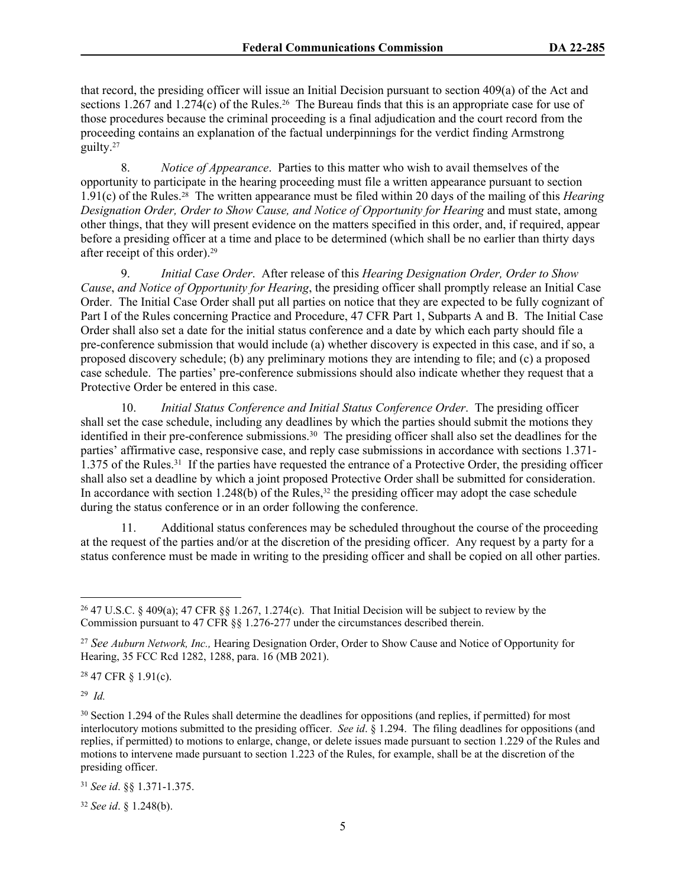that record, the presiding officer will issue an Initial Decision pursuant to section 409(a) of the Act and sections 1.267 and 1.274(c) of the Rules.<sup>26</sup> The Bureau finds that this is an appropriate case for use of those procedures because the criminal proceeding is a final adjudication and the court record from the proceeding contains an explanation of the factual underpinnings for the verdict finding Armstrong guilty.<sup>27</sup>

8. *Notice of Appearance*. Parties to this matter who wish to avail themselves of the opportunity to participate in the hearing proceeding must file a written appearance pursuant to section 1.91(c) of the Rules.28 The written appearance must be filed within 20 days of the mailing of this *Hearing Designation Order, Order to Show Cause, and Notice of Opportunity for Hearing* and must state, among other things, that they will present evidence on the matters specified in this order, and, if required, appear before a presiding officer at a time and place to be determined (which shall be no earlier than thirty days after receipt of this order).<sup>29</sup>

9. *Initial Case Order*. After release of this *Hearing Designation Order, Order to Show Cause*, *and Notice of Opportunity for Hearing*, the presiding officer shall promptly release an Initial Case Order. The Initial Case Order shall put all parties on notice that they are expected to be fully cognizant of Part I of the Rules concerning Practice and Procedure, 47 CFR Part 1, Subparts A and B. The Initial Case Order shall also set a date for the initial status conference and a date by which each party should file a pre-conference submission that would include (a) whether discovery is expected in this case, and if so, a proposed discovery schedule; (b) any preliminary motions they are intending to file; and (c) a proposed case schedule. The parties' pre-conference submissions should also indicate whether they request that a Protective Order be entered in this case.

10. *Initial Status Conference and Initial Status Conference Order*. The presiding officer shall set the case schedule, including any deadlines by which the parties should submit the motions they identified in their pre-conference submissions.<sup>30</sup> The presiding officer shall also set the deadlines for the parties' affirmative case, responsive case, and reply case submissions in accordance with sections 1.371- 1.375 of the Rules.<sup>31</sup> If the parties have requested the entrance of a Protective Order, the presiding officer shall also set a deadline by which a joint proposed Protective Order shall be submitted for consideration. In accordance with section 1.248(b) of the Rules,  $32$  the presiding officer may adopt the case schedule during the status conference or in an order following the conference.

11. Additional status conferences may be scheduled throughout the course of the proceeding at the request of the parties and/or at the discretion of the presiding officer. Any request by a party for a status conference must be made in writing to the presiding officer and shall be copied on all other parties.

<sup>28</sup> 47 CFR § 1.91(c).

29 *Id.* 

<sup>32</sup> *See id*. § 1.248(b).

<sup>26</sup> 47 U.S.C. § 409(a); 47 CFR §§ 1.267, 1.274(c). That Initial Decision will be subject to review by the Commission pursuant to 47 CFR §§ 1.276-277 under the circumstances described therein.

<sup>27</sup> *See Auburn Network, Inc.,* Hearing Designation Order, Order to Show Cause and Notice of Opportunity for Hearing, 35 FCC Rcd 1282, 1288, para. 16 (MB 2021).

<sup>&</sup>lt;sup>30</sup> Section 1.294 of the Rules shall determine the deadlines for oppositions (and replies, if permitted) for most interlocutory motions submitted to the presiding officer. *See id*. § 1.294. The filing deadlines for oppositions (and replies, if permitted) to motions to enlarge, change, or delete issues made pursuant to section 1.229 of the Rules and motions to intervene made pursuant to section 1.223 of the Rules, for example, shall be at the discretion of the presiding officer.

<sup>31</sup> *See id*. §§ 1.371-1.375.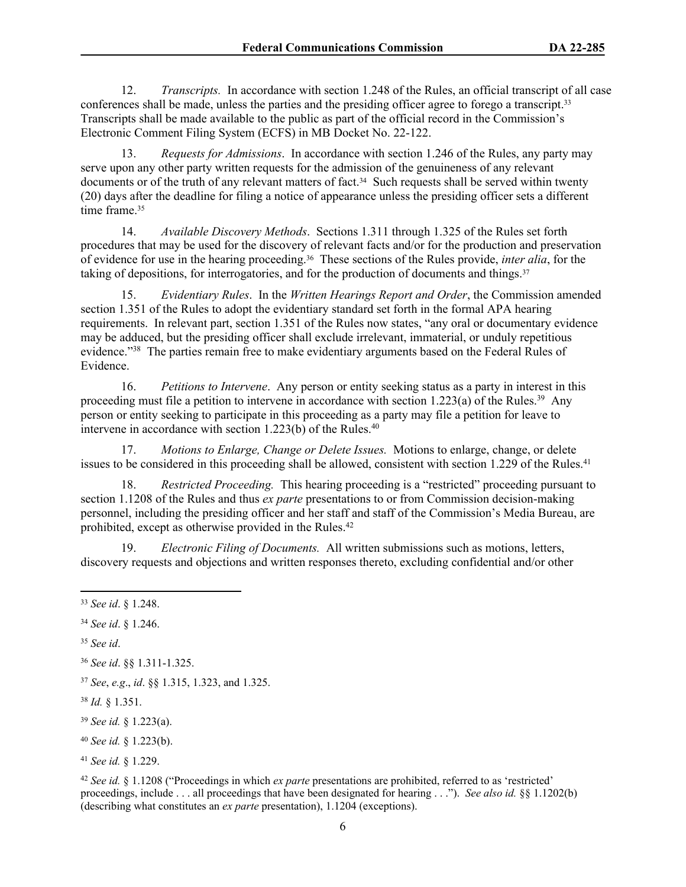12. *Transcripts.* In accordance with section 1.248 of the Rules, an official transcript of all case conferences shall be made, unless the parties and the presiding officer agree to forego a transcript.<sup>33</sup> Transcripts shall be made available to the public as part of the official record in the Commission's Electronic Comment Filing System (ECFS) in MB Docket No. 22-122.

13. *Requests for Admissions*. In accordance with section 1.246 of the Rules, any party may serve upon any other party written requests for the admission of the genuineness of any relevant documents or of the truth of any relevant matters of fact.<sup>34</sup> Such requests shall be served within twenty (20) days after the deadline for filing a notice of appearance unless the presiding officer sets a different time frame.<sup>35</sup>

14. *Available Discovery Methods*. Sections 1.311 through 1.325 of the Rules set forth procedures that may be used for the discovery of relevant facts and/or for the production and preservation of evidence for use in the hearing proceeding.36 These sections of the Rules provide, *inter alia*, for the taking of depositions, for interrogatories, and for the production of documents and things.<sup>37</sup>

15. *Evidentiary Rules*. In the *Written Hearings Report and Order*, the Commission amended section 1.351 of the Rules to adopt the evidentiary standard set forth in the formal APA hearing requirements. In relevant part, section 1.351 of the Rules now states, "any oral or documentary evidence may be adduced, but the presiding officer shall exclude irrelevant, immaterial, or unduly repetitious evidence."<sup>38</sup> The parties remain free to make evidentiary arguments based on the Federal Rules of Evidence.

16. *Petitions to Intervene*. Any person or entity seeking status as a party in interest in this proceeding must file a petition to intervene in accordance with section 1.223(a) of the Rules.<sup>39</sup> Any person or entity seeking to participate in this proceeding as a party may file a petition for leave to intervene in accordance with section 1.223(b) of the Rules.<sup>40</sup>

17. *Motions to Enlarge, Change or Delete Issues.* Motions to enlarge, change, or delete issues to be considered in this proceeding shall be allowed, consistent with section  $1.229$  of the Rules.<sup>41</sup>

18. *Restricted Proceeding.* This hearing proceeding is a "restricted" proceeding pursuant to section 1.1208 of the Rules and thus *ex parte* presentations to or from Commission decision-making personnel, including the presiding officer and her staff and staff of the Commission's Media Bureau, are prohibited, except as otherwise provided in the Rules.<sup>42</sup>

19. *Electronic Filing of Documents.* All written submissions such as motions, letters, discovery requests and objections and written responses thereto, excluding confidential and/or other

<sup>35</sup> *See id*.

<sup>39</sup> *See id.* § 1.223(a).

- <sup>40</sup> *See id.* § 1.223(b).
- <sup>41</sup> *See id.* § 1.229.

<sup>42</sup> *See id.* § 1.1208 ("Proceedings in which *ex parte* presentations are prohibited, referred to as 'restricted' proceedings, include . . . all proceedings that have been designated for hearing . . ."). *See also id.* §§ 1.1202(b) (describing what constitutes an *ex parte* presentation), 1.1204 (exceptions).

<sup>33</sup> *See id*. § 1.248.

<sup>34</sup> *See id*. § 1.246.

<sup>36</sup> *See id*. §§ 1.311-1.325.

<sup>37</sup> *See*, *e.g*., *id*. §§ 1.315, 1.323, and 1.325.

<sup>38</sup> *Id.* § 1.351.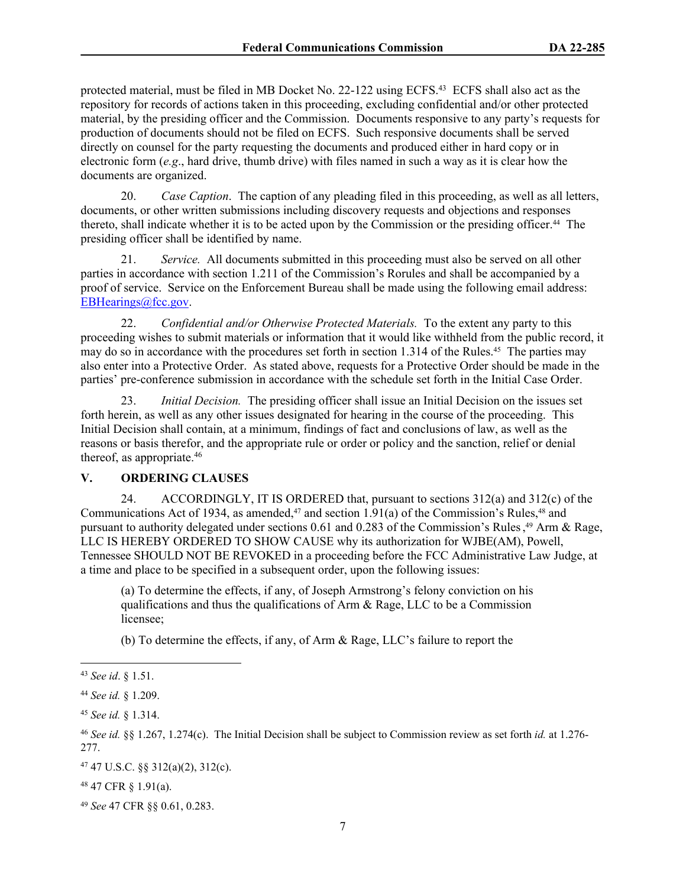protected material, must be filed in MB Docket No. 22-122 using ECFS.<sup>43</sup> ECFS shall also act as the repository for records of actions taken in this proceeding, excluding confidential and/or other protected material, by the presiding officer and the Commission. Documents responsive to any party's requests for production of documents should not be filed on ECFS. Such responsive documents shall be served directly on counsel for the party requesting the documents and produced either in hard copy or in electronic form (*e.g*., hard drive, thumb drive) with files named in such a way as it is clear how the documents are organized.

20. *Case Caption*. The caption of any pleading filed in this proceeding, as well as all letters, documents, or other written submissions including discovery requests and objections and responses thereto, shall indicate whether it is to be acted upon by the Commission or the presiding officer.44 The presiding officer shall be identified by name.

21. *Service.* All documents submitted in this proceeding must also be served on all other parties in accordance with section 1.211 of the Commission's Rorules and shall be accompanied by a proof of service. Service on the Enforcement Bureau shall be made using the following email address: [EBHearings@fcc.gov.](mailto:EBHearings@fcc.gov)

22. *Confidential and/or Otherwise Protected Materials.* To the extent any party to this proceeding wishes to submit materials or information that it would like withheld from the public record, it may do so in accordance with the procedures set forth in section 1.314 of the Rules.45 The parties may also enter into a Protective Order. As stated above, requests for a Protective Order should be made in the parties' pre-conference submission in accordance with the schedule set forth in the Initial Case Order.

23. *Initial Decision.* The presiding officer shall issue an Initial Decision on the issues set forth herein, as well as any other issues designated for hearing in the course of the proceeding. This Initial Decision shall contain, at a minimum, findings of fact and conclusions of law, as well as the reasons or basis therefor, and the appropriate rule or order or policy and the sanction, relief or denial thereof, as appropriate.<sup>46</sup>

## **V. ORDERING CLAUSES**

24. ACCORDINGLY, IT IS ORDERED that, pursuant to sections 312(a) and 312(c) of the Communications Act of 1934, as amended,<sup>47</sup> and section 1.91(a) of the Commission's Rules,<sup>48</sup> and pursuant to authority delegated under sections 0.61 and 0.283 of the Commission's Rules,<sup>49</sup> Arm & Rage, LLC IS HEREBY ORDERED TO SHOW CAUSE why its authorization for WJBE(AM), Powell, Tennessee SHOULD NOT BE REVOKED in a proceeding before the FCC Administrative Law Judge, at a time and place to be specified in a subsequent order, upon the following issues:

(a) To determine the effects, if any, of Joseph Armstrong's felony conviction on his qualifications and thus the qualifications of Arm & Rage, LLC to be a Commission licensee;

(b) To determine the effects, if any, of Arm & Rage, LLC's failure to report the

<sup>43</sup> *See id*. § 1.51.

<sup>44</sup> *See id.* § 1.209.

<sup>45</sup> *See id.* § 1.314.

<sup>46</sup> *See id.* §§ 1.267, 1.274(c). The Initial Decision shall be subject to Commission review as set forth *id.* at 1.276- 277.

<sup>47</sup> 47 U.S.C. §§ 312(a)(2), 312(c).

<sup>48</sup> 47 CFR § 1.91(a).

<sup>49</sup> *See* 47 CFR §§ 0.61, 0.283.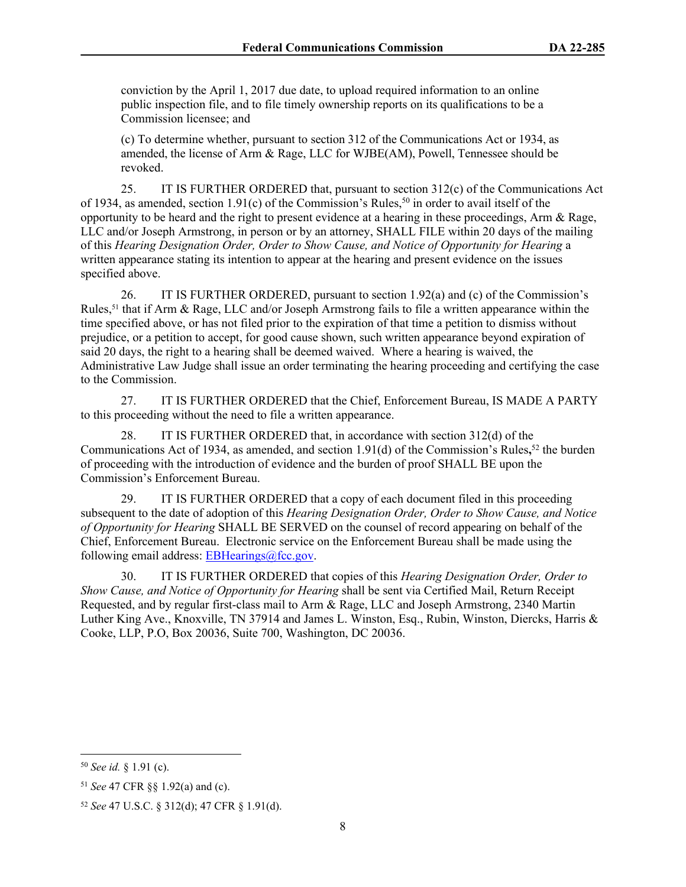conviction by the April 1, 2017 due date, to upload required information to an online public inspection file, and to file timely ownership reports on its qualifications to be a Commission licensee; and

(c) To determine whether, pursuant to section 312 of the Communications Act or 1934, as amended, the license of Arm & Rage, LLC for WJBE(AM), Powell, Tennessee should be revoked.

25. IT IS FURTHER ORDERED that, pursuant to section 312(c) of the Communications Act of 1934, as amended, section 1.91(c) of the Commission's Rules,<sup>50</sup> in order to avail itself of the opportunity to be heard and the right to present evidence at a hearing in these proceedings, Arm  $\&$  Rage, LLC and/or Joseph Armstrong, in person or by an attorney, SHALL FILE within 20 days of the mailing of this *Hearing Designation Order, Order to Show Cause, and Notice of Opportunity for Hearing* a written appearance stating its intention to appear at the hearing and present evidence on the issues specified above.

26. IT IS FURTHER ORDERED, pursuant to section 1.92(a) and (c) of the Commission's Rules,<sup>51</sup> that if Arm & Rage, LLC and/or Joseph Armstrong fails to file a written appearance within the time specified above, or has not filed prior to the expiration of that time a petition to dismiss without prejudice, or a petition to accept, for good cause shown, such written appearance beyond expiration of said 20 days, the right to a hearing shall be deemed waived. Where a hearing is waived, the Administrative Law Judge shall issue an order terminating the hearing proceeding and certifying the case to the Commission.

27. IT IS FURTHER ORDERED that the Chief, Enforcement Bureau, IS MADE A PARTY to this proceeding without the need to file a written appearance.

28. IT IS FURTHER ORDERED that, in accordance with section 312(d) of the Communications Act of 1934, as amended, and section 1.91(d) of the Commission's Rules**,** <sup>52</sup> the burden of proceeding with the introduction of evidence and the burden of proof SHALL BE upon the Commission's Enforcement Bureau.

29. IT IS FURTHER ORDERED that a copy of each document filed in this proceeding subsequent to the date of adoption of this *Hearing Designation Order, Order to Show Cause, and Notice of Opportunity for Hearing* SHALL BE SERVED on the counsel of record appearing on behalf of the Chief, Enforcement Bureau. Electronic service on the Enforcement Bureau shall be made using the following email address:  $EBHearings@fcc.gov$ .

30. IT IS FURTHER ORDERED that copies of this *Hearing Designation Order, Order to Show Cause, and Notice of Opportunity for Hearing* shall be sent via Certified Mail, Return Receipt Requested, and by regular first-class mail to Arm & Rage, LLC and Joseph Armstrong, 2340 Martin Luther King Ave., Knoxville, TN 37914 and James L. Winston, Esq., Rubin, Winston, Diercks, Harris & Cooke, LLP, P.O, Box 20036, Suite 700, Washington, DC 20036.

<sup>50</sup> *See id.* § 1.91 (c).

<sup>51</sup> *See* 47 CFR §§ 1.92(a) and (c).

<sup>52</sup> *See* 47 U.S.C. § 312(d); 47 CFR § 1.91(d).